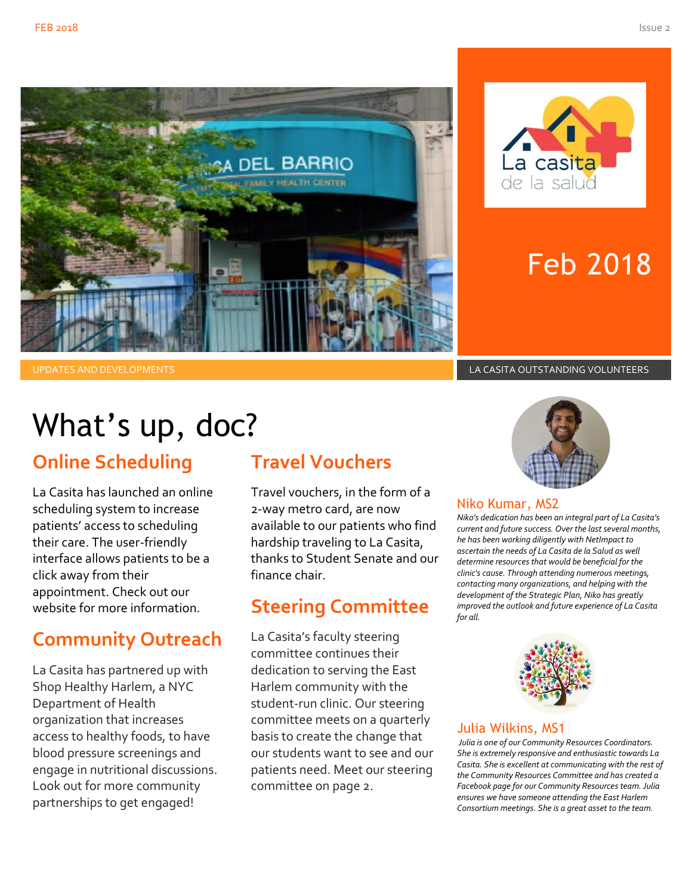



# Feb 2018

UPDATES AND DEVELOPMENTS LA CASITA OUTSTANDING VOLUNTEERS

# What's up, doc?

### **Online Scheduling**

La Casita has launched an online scheduling system to increase patients' access to scheduling their care. The user-friendly interface allows patients to be a click away from their appointment. Check out our website for more information.

### **Community Outreach**

La Casita has partnered up with Shop Healthy Harlem, a NYC Department of Health organization that increases access to healthy foods, to have blood pressure screenings and engage in nutritional discussions. Look out for more community partnerships to get engaged!

#### **Travel Vouchers**

Travel vouchers, in the form of a 2-way metro card, are now available to our patients who find hardship traveling to La Casita, thanks to Student Senate and our finance chair.

### **Steering Committee**

La Casita's faculty steering committee continues their dedication to serving the East Harlem community with the student-run clinic. Our steering committee meets on a quarterly basis to create the change that our students want to see and our patients need. Meet our steering committee on page 2.



#### Niko Kumar, MS2

*Niko's dedication has been an integral part of La Casita's current and future success. Over the last several months, he has been working diligently with NetImpact to ascertain the needs of La Casita de la Salud as well determine resources that would be beneficial for the clinic's cause. Through attending numerous meetings, contacting many organizations, and helping with the development of the Strategic Plan, Niko has greatly improved the outlook and future experience of La Casita for all.*



#### Julia Wilkins, MS1

*Julia is one of our Community Resources Coordinators. She is extremely responsive and enthusiastic towards La Casita. She is excellent at communicating with the rest of the Community Resources Committee and has created a Facebook page for our Community Resources team. Julia ensures we have someone attending the East Harlem Consortium meetings. She is a great asset to the team.*